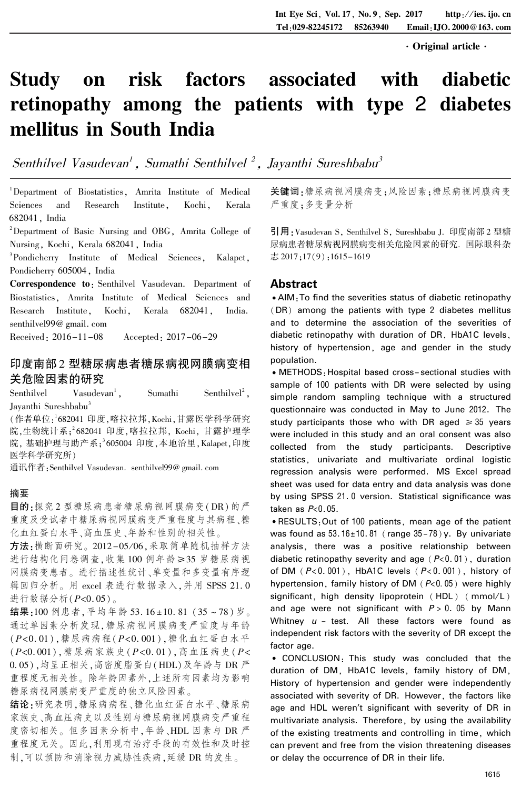·Original article·

# Study on risk factors associated with diabetic retinopathy among the patients with type 2 diabetes mellitus in South India

Senthilvel Vasudevan<sup>1</sup> , Sumathi Senthilvel <sup>2</sup> , Jayanthi Sureshbabu<sup>3</sup>

<sup>1</sup>Department of Biostatistics, Amrita Institute of Medical Sciences and Research Institute, Kochi, Kerala 682041, India

<sup>2</sup>Department of Basic Nursing and OBG, Amrita College of Nursing, Kochi, Kerala 682041, India

3 Pondicherry Institute of Medical Sciences, Kalapet, Pondicherry 605004, India

Correspondence to: Senthilvel Vasudevan. Department of Biostatistics, Amrita Institute of Medical Sciences and Research Institute, Kochi, Kerala 682041, India. senthilvel99@ gmail. com

Received: 2016-11-08 Accepted: 2017-06-29

## 印度南部 2 型糖尿病患者糖尿病视网膜病变相 关危险因素的研究

Senthilvel Vasudevan<sup>1</sup> , Sumathi Senthilvel 2 , Jayanthi Sureshbabu 3

(作者单位: 1 682041 印度,喀拉拉邦,Kochi,甘露医学科学研究 院,生物统计系; 2 682041 印度,喀拉拉邦, Kochi, 甘露护理学 院, 基础护理与助产系; 3 605004 印度,本地治里,Kalapet,印度 医学科学研究所)

通讯作者:Senthilvel Vasudevan. senthilvel99@ gmail. com

## 摘要

目的:探究 2 型糖尿病患者糖尿病视网膜病变(DR)的严 重度及受试者中糖尿病视网膜病变严重程度与其病程、糖 化血红蛋白水平、高血压史、年龄和性别的相关性。

方法:横断面研究。2012-05/06,采取简单随机抽样方法 进行结构化问卷调查,收集100例年龄≥35岁糖尿病视 网膜病变患者。 进行描述性统计、单变量和多变量有序逻 辑回归分析。 用 excel 表进行数据录入,并用 SPSS 21. 0 进行数据分析(P<0. 05)。

结果:100 例患者, 平均年龄 53. 16±10. 81 (35~78) 岁。 通过单因素分析发现,糖尿病视网膜病变严重度与年龄 (P<0. 01),糖尿病病程(P<0. 001),糖化血红蛋白水平 (P<0. 001),糖尿病家族史(P<0. 01),高血压病史( P<  $(0.05)$ ,均呈正相关,高密度脂蛋白(HDL)及年龄与 DR 严 重程度无相关性。 除年龄因素外,上述所有因素均为影响 糖尿病视网膜病变严重度的独立风险因素。

结论:研究表明,糖尿病病程、糖化血红蛋白水平、糖尿病 家族史、高血压病史以及性别与糖尿病视网膜病变严重程 度密切相关。 但多因素分析中,年龄、HDL 因素与 DR 严 重程度无关。 因此,利用现有治疗手段的有效性和及时控 制,可以预防和消除视力威胁性疾病,延缓 DR 的发生。

关键词:糖尿病视网膜病变;风险因素;糖尿病视网膜病变 严重度;多变量分析

引用:Vasudevan S, Senthilvel S, Sureshbabu J. 印度南部 2 型糖 尿病患者糖尿病视网膜病变相关危险因素的研究. 国际眼科杂 志 2017;17(9):1615-1619

## Abstract

<sup>誗</sup>AIM:To find the severities status of diabetic retinopathy (DR) among the patients with type 2 diabetes mellitus and to determine the association of the severities of diabetic retinopathy with duration of DR, HbA1C levels, history of hypertension, age and gender in the study population.

• METHODS: Hospital based cross-sectional studies with sample of 100 patients with DR were selected by using simple random sampling technique with a structured questionnaire was conducted in May to June 2012. The study participants those who with DR aged  $\geq 35$  years were included in this study and an oral consent was also collected from the study participants. Descriptive statistics, univariate and multivariate ordinal logistic regression analysis were performed. MS Excel spread sheet was used for data entry and data analysis was done by using SPSS 21. 0 version. Statistical significance was taken as  $P<0.05$ .

<sup>誗</sup>RESULTS:Out of 100 patients, mean age of the patient was found as  $53.16 \pm 10.81$  (range  $35-78$ ) y. By univariate analysis, there was a positive relationship between diabetic retinopathy severity and age  $(P< 0.01)$ , duration of DM  $(P<0.001)$ , HbA1C levels  $(P<0.001)$ , history of hypertension, family history of DM ( $P<0.05$ ) were highly significant, high density lipoprotein (HDL) (mmol/L) and age were not significant with  $P > 0$ . 05 by Mann Whitney  $u$  - test. All these factors were found as independent risk factors with the severity of DR except the factor age.

<sup>誗</sup> CONCLUSION: This study was concluded that the duration of DM, HbA1C levels, family history of DM, History of hypertension and gender were independently associated with severity of DR. However, the factors like age and HDL weren't significant with severity of DR in multivariate analysis. Therefore, by using the availability of the existing treatments and controlling in time, which can prevent and free from the vision threatening diseases or delay the occurrence of DR in their life.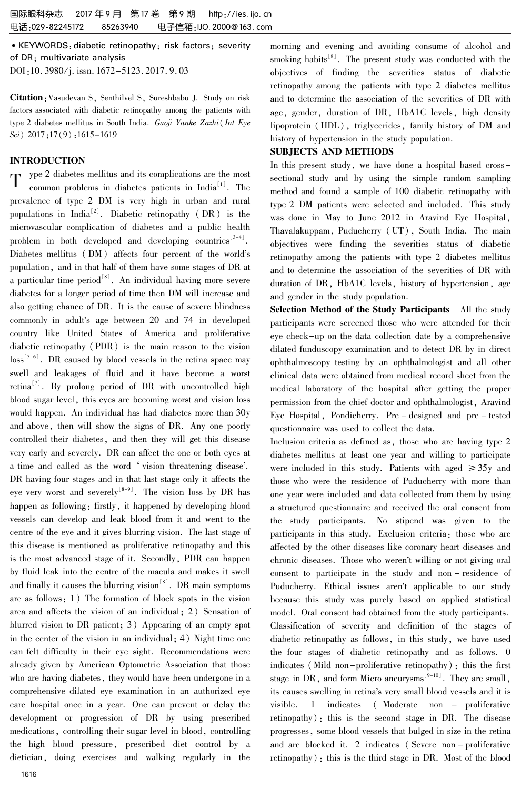<sup>誗</sup>KEYWORDS:diabetic retinopathy; risk factors; severity of DR; multivariate analysis DOI:10. 3980/j. issn. 1672-5123. 2017. 9. 03

Citation:Vasudevan S, Senthilvel S, Sureshbabu J. Study on risk factors associated with diabetic retinopathy among the patients with type 2 diabetes mellitus in South India. Guoji Yanke Zazhi( Int Eye Sci) 2017;17(9):1615-1619

### INTRODUCTION

 $T$  ype 2 diabetes mellitus and its complications are the most<br>common problems in diabetes patients in India<sup>[1]</sup>. The common problems in diabetes patients in India [1] . The prevalence of type 2 DM is very high in urban and rural populations in  $\text{India}^{\lfloor 2 \rfloor}$ . Diabetic retinopathy (DR) is the microvascular complication of diabetes and a public health problem in both developed and developing countries  $3-4$ . Diabetes mellitus (DM) affects four percent of the world's population, and in that half of them have some stages of DR at a particular time  $period<sup>[8]</sup>$ . An individual having more severe diabetes for a longer period of time then DM will increase and also getting chance of DR. It is the cause of severe blindness commonly in adult's age between 20 and 74 in developed country like United States of America and proliferative diabetic retinopathy (PDR) is the main reason to the vision  $\text{loss}^{\{5-6\}}$ . DR caused by blood vessels in the retina space may swell and leakages of fluid and it have become a worst retina<sup>[7]</sup>. By prolong period of DR with uncontrolled high blood sugar level, this eyes are becoming worst and vision loss would happen. An individual has had diabetes more than 30y and above, then will show the signs of DR. Any one poorly controlled their diabetes, and then they will get this disease very early and severely. DR can affect the one or both eyes at a time and called as the word 'vision threatening disease'. DR having four stages and in that last stage only it affects the eye very worst and severely $\vert v^{\text{[8-9]}}$ . The vision loss by DR has happen as following: firstly, it happened by developing blood vessels can develop and leak blood from it and went to the centre of the eye and it gives blurring vision. The last stage of this disease is mentioned as proliferative retinopathy and this is the most advanced stage of it. Secondly, PDR can happen by fluid leak into the centre of the macula and makes it swell and finally it causes the blurring vision  $[8]$ . DR main symptoms are as follows: 1) The formation of block spots in the vision area and affects the vision of an individual; 2) Sensation of blurred vision to DR patient; 3) Appearing of an empty spot in the center of the vision in an individual; 4) Night time one can felt difficulty in their eye sight. Recommendations were already given by American Optometric Association that those who are having diabetes, they would have been undergone in a comprehensive dilated eye examination in an authorized eye care hospital once in a year. One can prevent or delay the development or progression of DR by using prescribed medications, controlling their sugar level in blood, controlling the high blood pressure, prescribed diet control by a dietician, doing exercises and walking regularly in the

morning and evening and avoiding consume of alcohol and smoking habits<sup>[8]</sup>. The present study was conducted with the objectives of finding the severities status of diabetic retinopathy among the patients with type 2 diabetes mellitus and to determine the association of the severities of DR with age, gender, duration of DR, HbA1C levels, high density lipoprotein ( HDL), triglycerides, family history of DM and history of hypertension in the study population.

#### SUBJECTS AND METHODS

In this present study, we have done a hospital based crosssectional study and by using the simple random sampling method and found a sample of 100 diabetic retinopathy with type 2 DM patients were selected and included. This study was done in May to June 2012 in Aravind Eye Hospital, Thavalakuppam, Puducherry (UT), South India. The main objectives were finding the severities status of diabetic retinopathy among the patients with type 2 diabetes mellitus and to determine the association of the severities of DR with duration of DR, HbA1C levels, history of hypertension, age and gender in the study population.

Selection Method of the Study Participants All the study participants were screened those who were attended for their eye check-up on the data collection date by a comprehensive dilated funduscopy examination and to detect DR by in direct ophthalmoscopy testing by an ophthalmologist and all other clinical data were obtained from medical record sheet from the medical laboratory of the hospital after getting the proper permission from the chief doctor and ophthalmologist, Aravind Eye Hospital, Pondicherry. Pre - designed and pre - tested questionnaire was used to collect the data.

Inclusion criteria as defined as, those who are having type 2 diabetes mellitus at least one year and willing to participate were included in this study. Patients with aged  $\geq 35y$  and those who were the residence of Puducherry with more than one year were included and data collected from them by using a structured questionnaire and received the oral consent from the study participants. No stipend was given to the participants in this study. Exclusion criteria: those who are affected by the other diseases like coronary heart diseases and chronic diseases. Those who weren't willing or not giving oral consent to participate in the study and non - residence of Puducherry. Ethical issues aren't applicable to our study because this study was purely based on applied statistical model. Oral consent had obtained from the study participants. Classification of severity and definition of the stages of diabetic retinopathy as follows, in this study, we have used the four stages of diabetic retinopathy and as follows. 0 indicates (Mild non-proliferative retinopathy): this the first stage in DR, and form Micro aneurysms $[9-10]$ . They are small, its causes swelling in retina's very small blood vessels and it is visible. 1 indicates ( Moderate non - proliferative retinopathy): this is the second stage in DR. The disease progresses, some blood vessels that bulged in size in the retina and are blocked it. 2 indicates ( Severe non - proliferative retinopathy): this is the third stage in DR. Most of the blood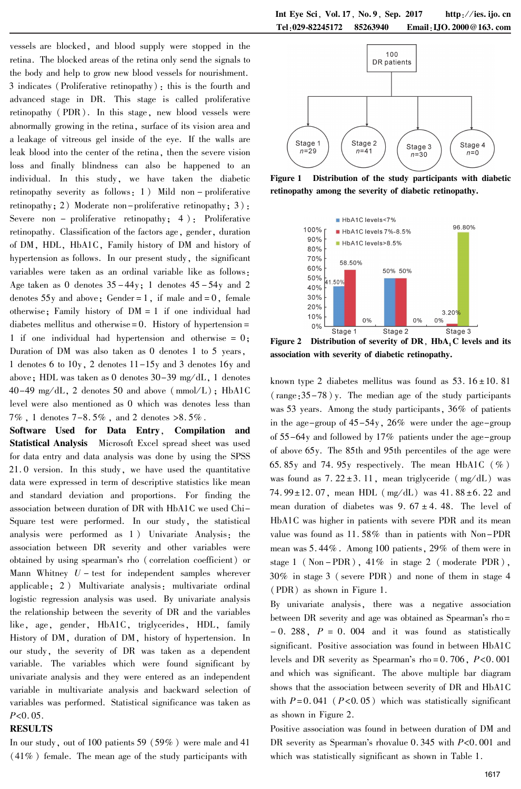vessels are blocked, and blood supply were stopped in the retina. The blocked areas of the retina only send the signals to the body and help to grow new blood vessels for nourishment. 3 indicates (Proliferative retinopathy): this is the fourth and advanced stage in DR. This stage is called proliferative retinopathy ( PDR). In this stage, new blood vessels were abnormally growing in the retina, surface of its vision area and a leakage of vitreous gel inside of the eye. If the walls are leak blood into the center of the retina, then the severe vision loss and finally blindness can also be happened to an individual. In this study, we have taken the diabetic retinopathy severity as follows: 1 ) Mild non - proliferative retinopathy: 2) Moderate non-proliferative retinopathy: 3): Severe non – proliferative retinopathy;  $4$ ); Proliferative retinopathy. Classification of the factors age, gender, duration of DM, HDL, HbA1C, Family history of DM and history of hypertension as follows. In our present study, the significant variables were taken as an ordinal variable like as follows: Age taken as 0 denotes  $35 - 44y$ ; 1 denotes  $45 - 54y$  and 2 denotes  $55y$  and above; Gender = 1, if male and = 0, female otherwise; Family history of DM = 1 if one individual had diabetes mellitus and otherwise  $= 0$ . History of hypertension  $=$ 1 if one individual had hypertension and otherwise = 0; Duration of DM was also taken as 0 denotes 1 to 5 years, 1 denotes 6 to 10y, 2 denotes 11-15y and 3 denotes 16y and above; HDL was taken as 0 denotes  $30-39$  mg/dL, 1 denotes  $40-49$  mg/dL, 2 denotes 50 and above (mmol/L); HbA1C level were also mentioned as 0 which was denotes less than  $7\%$ , 1 denotes  $7-8.5\%$ , and 2 denotes  $>8.5\%$ .

Software Used for Data Entry, Compilation and Statistical Analysis Microsoft Excel spread sheet was used for data entry and data analysis was done by using the SPSS 21. 0 version. In this study, we have used the quantitative data were expressed in term of descriptive statistics like mean and standard deviation and proportions. For finding the association between duration of DR with HbA1C we used Chi-Square test were performed. In our study, the statistical analysis were performed as 1 ) Univariate Analysis: the association between DR severity and other variables were obtained by using spearman's rho (correlation coefficient) or Mann Whitney  $U$  – test for independent samples wherever applicable; 2 ) Multivariate analysis: multivariate ordinal logistic regression analysis was used. By univariate analysis the relationship between the severity of DR and the variables like, age, gender, HbA1C, triglycerides, HDL, family History of DM, duration of DM, history of hypertension. In our study, the severity of DR was taken as a dependent variable. The variables which were found significant by univariate analysis and they were entered as an independent variable in multivariate analysis and backward selection of variables was performed. Statistical significance was taken as  $P<0.05$ .

#### RESULTS

In our study, out of 100 patients 59 (59% ) were male and 41 (41% ) female. The mean age of the study participants with



Figure 1 Distribution of the study participants with diabetic retinopathy among the severity of diabetic retinopathy.



Figure 2 Distribution of severity of DR,  $HbA_1C$  levels and its association with severity of diabetic retinopathy.

known type 2 diabetes mellitus was found as  $53.16 \pm 10.81$ (range:35-78) y. The median age of the study participants was 53 years. Among the study participants, 36% of patients in the age-group of 45-54y, 26% were under the age-group of 55-64y and followed by 17% patients under the age-group of above 65y. The 85th and 95th percentiles of the age were 65.85y and 74.95y respectively. The mean HbA1C  $(\%)$ was found as  $7.22 \pm 3.11$ , mean triglyceride (mg/dL) was 74.  $99 \pm 12.07$ , mean HDL (mg/dL) was 41.  $88 \pm 6.22$  and mean duration of diabetes was  $9.67 \pm 4.48$ . The level of HbA1C was higher in patients with severe PDR and its mean value was found as 11. 58% than in patients with Non-PDR mean was 5. 44% . Among 100 patients, 29% of them were in stage  $1$  (Non - PDR),  $41\%$  in stage  $2$  (moderate PDR), 30% in stage 3 ( severe PDR) and none of them in stage 4 (PDR) as shown in Figure 1.

By univariate analysis, there was a negative association between DR severity and age was obtained as Spearman's rho=  $-0.288$ ,  $P = 0.004$  and it was found as statistically significant. Positive association was found in between HbA1C levels and DR severity as Spearman's rho =  $0.706$ ,  $P < 0.001$ and which was significant. The above multiple bar diagram shows that the association between severity of DR and HbA1C with  $P = 0.041$  ( $P < 0.05$ ) which was statistically significant as shown in Figure 2.

Positive association was found in between duration of DM and DR severity as Spearman's rhovalue  $0.345$  with  $P<0.001$  and which was statistically significant as shown in Table 1.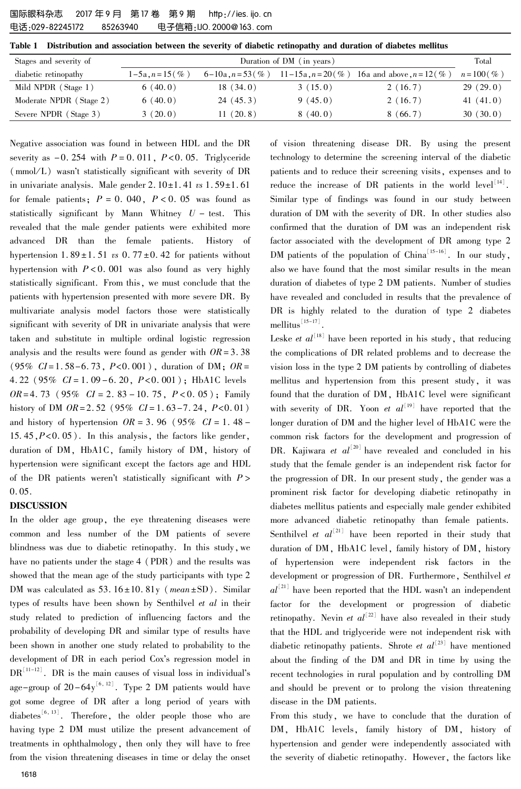Table 1 Distribution and association between the severity of diabetic retinopathy and duration of diabetes mellitus

| Stages and severity of  | Duration of DM (in years) |                   |                    |                             | Total              |
|-------------------------|---------------------------|-------------------|--------------------|-----------------------------|--------------------|
| diabetic retinopathy    | $1-5a, n=15($ %)          | $6-10a, n=53$ (%) | $11-15a, n=20$ (%) | 16a and above, $n = 12$ (%) | $n = 100 \, (\% )$ |
| Mild NPDR (Stage 1)     | 6(40.0)                   | 18(34.0)          | 3(15.0)            | 2(16.7)                     | 29(29.0)           |
| Moderate NPDR (Stage 2) | 6(40.0)                   | 24(45.3)          | 9(45.0)            | 2(16.7)                     | 41 $(41.0)$        |
| Severe NPDR (Stage 3)   | 3(20.0)                   | 11(20.8)          | 8(40.0)            | 8(66.7)                     | 30(30.0)           |

Negative association was found in between HDL and the DR severity as  $-0.254$  with  $P = 0.011$ ,  $P < 0.05$ . Triglyceride  $(mmol/L)$  wasn't statistically significant with severity of DR in univariate analysis. Male gender  $2.10 \pm 1.41$  vs  $1.59 \pm 1.61$ for female patients;  $P = 0.040$ ,  $P < 0.05$  was found as statistically significant by Mann Whitney  $U$  – test. This revealed that the male gender patients were exhibited more advanced DR than the female patients. History of hypertension  $1.89 \pm 1.51$  vs 0.  $77 \pm 0.42$  for patients without hypertension with  $P < 0$ . 001 was also found as very highly statistically significant. From this, we must conclude that the patients with hypertension presented with more severe DR. By multivariate analysis model factors those were statistically significant with severity of DR in univariate analysis that were taken and substitute in multiple ordinal logistic regression analysis and the results were found as gender with  $OR = 3.38$  $(95\% \; CI = 1.58 - 6.73, P < 0.001)$ , duration of DM;  $OR =$ 4. 22 (95%  $CI = 1.09 - 6.20$ ,  $P < 0.001$ ); HbA1C levels  $OR = 4.73$  (95%  $CI = 2.83 - 10.75$ ,  $P < 0.05$ ); Family history of DM  $OR = 2.52$  (95%  $CI = 1.63 - 7.24$ ,  $P < 0.01$ ) and history of hypertension  $OR = 3.96$  ( $95\%$   $CI = 1.48$  -15.45, $P<0.05$ ). In this analysis, the factors like gender, duration of DM, HbA1C, family history of DM, history of hypertension were significant except the factors age and HDL of the DR patients weren't statistically significant with  $P >$ 0. 05.

#### DISCUSSION

In the older age group, the eye threatening diseases were common and less number of the DM patients of severe blindness was due to diabetic retinopathy. In this study,we have no patients under the stage 4 (PDR) and the results was showed that the mean age of the study participants with type 2 DM was calculated as  $53.16 \pm 10.81y$  (mean  $\pm$ SD). Similar types of results have been shown by Senthilvel et al in their study related to prediction of influencing factors and the probability of developing DR and similar type of results have been shown in another one study related to probability to the development of DR in each period Cox's regression model in  $DR^{\{11-12\}}$ . DR is the main causes of visual loss in individual's age-group of  $20-64y^{\lfloor6,12\rfloor}$ . Type 2 DM patients would have got some degree of DR after a long period of years with diabetes<sup>[6, 13]</sup>. Therefore, the older people those who are having type 2 DM must utilize the present advancement of treatments in ophthalmology, then only they will have to free from the vision threatening diseases in time or delay the onset technology to determine the screening interval of the diabetic patients and to reduce their screening visits, expenses and to reduce the increase of DR patients in the world  $level^{\lfloor 14 \rfloor}$ . Similar type of findings was found in our study between duration of DM with the severity of DR. In other studies also confirmed that the duration of DM was an independent risk factor associated with the development of DR among type 2 DM patients of the population of China  $\left[15-16\right]$ . In our study, also we have found that the most similar results in the mean duration of diabetes of type 2 DM patients. Number of studies have revealed and concluded in results that the prevalence of DR is highly related to the duration of type 2 diabetes mellitus $\left[15-17\right]$ .

of vision threatening disease DR. By using the present

Leske *et al*<sup>[18]</sup> have been reported in his study, that reducing the complications of DR related problems and to decrease the vision loss in the type 2 DM patients by controlling of diabetes mellitus and hypertension from this present study, it was found that the duration of DM, HbA1C level were significant with severity of DR. Yoon *et al*<sup>[19]</sup> have reported that the longer duration of DM and the higher level of HbA1C were the common risk factors for the development and progression of DR. Kajiwara *et al*<sup>[20]</sup> have revealed and concluded in his study that the female gender is an independent risk factor for the progression of DR. In our present study, the gender was a prominent risk factor for developing diabetic retinopathy in diabetes mellitus patients and especially male gender exhibited more advanced diabetic retinopathy than female patients. Senthilvel *et al*<sup>[21]</sup> have been reported in their study that duration of DM, HbA1C level, family history of DM, history of hypertension were independent risk factors in the development or progression of DR. Furthermore, Senthilvel et  $al^{\lfloor 21 \rfloor}$  have been reported that the HDL wasn't an independent factor for the development or progression of diabetic retinopathy. Nevin *et al*<sup>[22]</sup> have also revealed in their study that the HDL and triglyceride were not independent risk with diabetic retinopathy patients. Shrote *et al*<sup>[23]</sup> have mentioned about the finding of the DM and DR in time by using the recent technologies in rural population and by controlling DM and should be prevent or to prolong the vision threatening disease in the DM patients.

From this study, we have to conclude that the duration of DM, HbA1C levels, family history of DM, history of hypertension and gender were independently associated with the severity of diabetic retinopathy. However, the factors like